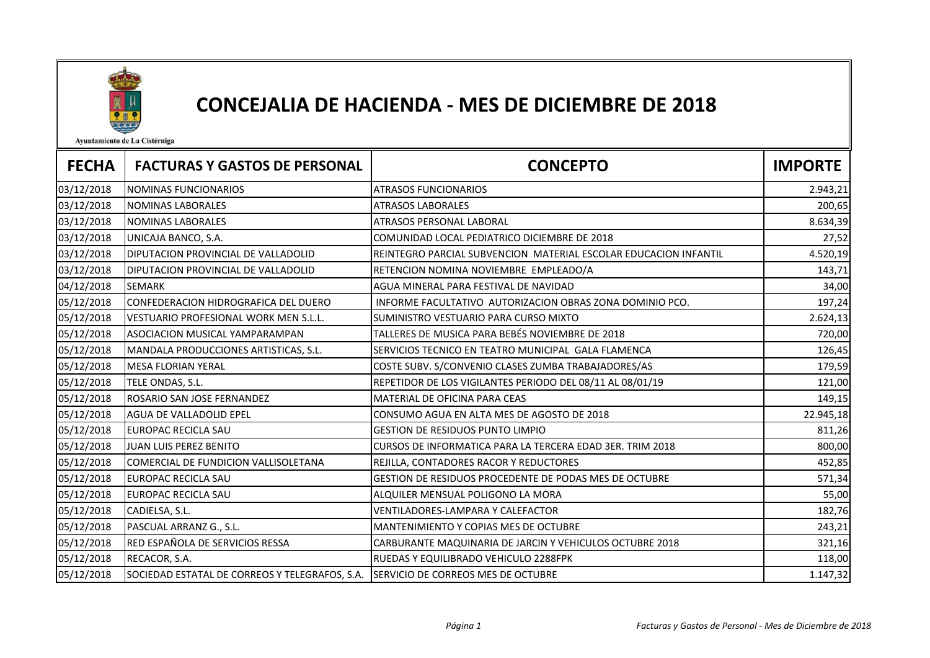

## CONCEJALIA DE HACIENDA - MES DE DICIEMBRE DE 2018

Ayuntamiento de La Cistérniga

| <b>FECHA</b> | <b>FACTURAS Y GASTOS DE PERSONAL</b>                                              | <b>CONCEPTO</b>                                                   | <b>IMPORTE</b> |
|--------------|-----------------------------------------------------------------------------------|-------------------------------------------------------------------|----------------|
| 03/12/2018   | <b>NOMINAS FUNCIONARIOS</b>                                                       | <b>ATRASOS FUNCIONARIOS</b>                                       | 2.943,21       |
| 03/12/2018   | NOMINAS LABORALES                                                                 | <b>ATRASOS LABORALES</b>                                          | 200,65         |
| 03/12/2018   | NOMINAS LABORALES                                                                 | ATRASOS PERSONAL LABORAL                                          | 8.634,39       |
| 03/12/2018   | UNICAJA BANCO, S.A.                                                               | COMUNIDAD LOCAL PEDIATRICO DICIEMBRE DE 2018                      | 27,52          |
| 03/12/2018   | DIPUTACION PROVINCIAL DE VALLADOLID                                               | IREINTEGRO PARCIAL SUBVENCION MATERIAL ESCOLAR EDUCACION INFANTIL | 4.520,19       |
| 03/12/2018   | DIPUTACION PROVINCIAL DE VALLADOLID                                               | RETENCION NOMINA NOVIEMBRE EMPLEADO/A                             | 143,71         |
| 04/12/2018   | <b>SEMARK</b>                                                                     | AGUA MINERAL PARA FESTIVAL DE NAVIDAD                             | 34,00          |
| 05/12/2018   | CONFEDERACION HIDROGRAFICA DEL DUERO                                              | INFORME FACULTATIVO AUTORIZACION OBRAS ZONA DOMINIO PCO.          | 197,24         |
| 05/12/2018   | <b>VESTUARIO PROFESIONAL WORK MEN S.L.L.</b>                                      | SUMINISTRO VESTUARIO PARA CURSO MIXTO                             | 2.624,13       |
| 05/12/2018   | ASOCIACION MUSICAL YAMPARAMPAN                                                    | TALLERES DE MUSICA PARA BEBÉS NOVIEMBRE DE 2018                   | 720,00         |
| 05/12/2018   | MANDALA PRODUCCIONES ARTISTICAS, S.L.                                             | SERVICIOS TECNICO EN TEATRO MUNICIPAL GALA FLAMENCA               | 126,45         |
| 05/12/2018   | <b>MESA FLORIAN YERAL</b>                                                         | COSTE SUBV. S/CONVENIO CLASES ZUMBA TRABAJADORES/AS               | 179,59         |
| 05/12/2018   | TELE ONDAS, S.L.                                                                  | REPETIDOR DE LOS VIGILANTES PERIODO DEL 08/11 AL 08/01/19         | 121,00         |
| 05/12/2018   | ROSARIO SAN JOSE FERNANDEZ                                                        | MATERIAL DE OFICINA PARA CEAS                                     | 149,15         |
| 05/12/2018   | AGUA DE VALLADOLID EPEL                                                           | CONSUMO AGUA EN ALTA MES DE AGOSTO DE 2018                        | 22.945,18      |
| 05/12/2018   | EUROPAC RECICLA SAU                                                               | <b>GESTION DE RESIDUOS PUNTO LIMPIO</b>                           | 811,26         |
| 05/12/2018   | JUAN LUIS PEREZ BENITO                                                            | CURSOS DE INFORMATICA PARA LA TERCERA EDAD 3ER. TRIM 2018         | 800,00         |
| 05/12/2018   | COMERCIAL DE FUNDICION VALLISOLETANA                                              | REJILLA, CONTADORES RACOR Y REDUCTORES                            | 452,85         |
| 05/12/2018   | EUROPAC RECICLA SAU                                                               | GESTION DE RESIDUOS PROCEDENTE DE PODAS MES DE OCTUBRE            | 571,34         |
| 05/12/2018   | EUROPAC RECICLA SAU                                                               | ALQUILER MENSUAL POLIGONO LA MORA                                 | 55,00          |
| 05/12/2018   | CADIELSA, S.L.                                                                    | VENTILADORES-LAMPARA Y CALEFACTOR                                 | 182,76         |
| 05/12/2018   | PASCUAL ARRANZ G., S.L.                                                           | <b>MANTENIMIENTO Y COPIAS MES DE OCTUBRE</b>                      | 243,21         |
| 05/12/2018   | RED ESPAÑOLA DE SERVICIOS RESSA                                                   | CARBURANTE MAQUINARIA DE JARCIN Y VEHICULOS OCTUBRE 2018          | 321,16         |
| 05/12/2018   | RECACOR, S.A.                                                                     | RUEDAS Y EQUILIBRADO VEHICULO 2288FPK                             | 118,00         |
| 05/12/2018   | SOCIEDAD ESTATAL DE CORREOS Y TELEGRAFOS, S.A. SERVICIO DE CORREOS MES DE OCTUBRE |                                                                   | 1.147,32       |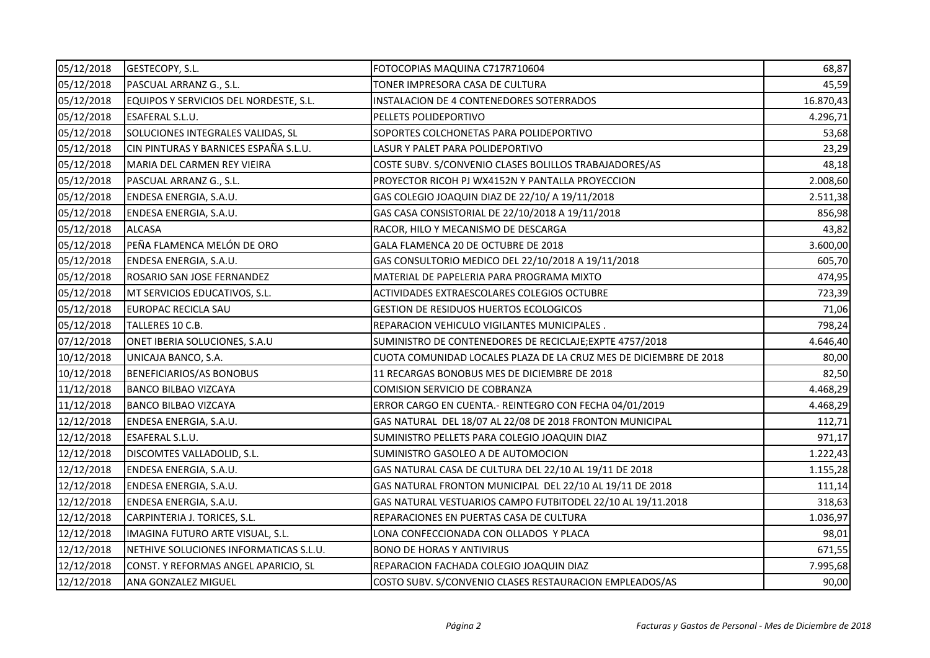| 05/12/2018 | GESTECOPY, S.L.                        | FOTOCOPIAS MAQUINA C717R710604                                    | 68,87     |
|------------|----------------------------------------|-------------------------------------------------------------------|-----------|
| 05/12/2018 | PASCUAL ARRANZ G., S.L.                | TONER IMPRESORA CASA DE CULTURA                                   | 45,59     |
| 05/12/2018 | EQUIPOS Y SERVICIOS DEL NORDESTE, S.L. | INSTALACION DE 4 CONTENEDORES SOTERRADOS                          | 16.870,43 |
| 05/12/2018 | ESAFERAL S.L.U.                        | PELLETS POLIDEPORTIVO                                             | 4.296,71  |
| 05/12/2018 | SOLUCIONES INTEGRALES VALIDAS, SL      | SOPORTES COLCHONETAS PARA POLIDEPORTIVO                           | 53,68     |
| 05/12/2018 | CIN PINTURAS Y BARNICES ESPAÑA S.L.U.  | LASUR Y PALET PARA POLIDEPORTIVO                                  | 23,29     |
| 05/12/2018 | MARIA DEL CARMEN REY VIEIRA            | COSTE SUBV. S/CONVENIO CLASES BOLILLOS TRABAJADORES/AS            | 48,18     |
| 05/12/2018 | PASCUAL ARRANZ G., S.L.                | PROYECTOR RICOH PJ WX4152N Y PANTALLA PROYECCION                  | 2.008,60  |
| 05/12/2018 | ENDESA ENERGIA, S.A.U.                 | GAS COLEGIO JOAQUIN DIAZ DE 22/10/ A 19/11/2018                   | 2.511,38  |
| 05/12/2018 | ENDESA ENERGIA, S.A.U.                 | GAS CASA CONSISTORIAL DE 22/10/2018 A 19/11/2018                  | 856,98    |
| 05/12/2018 | <b>ALCASA</b>                          | RACOR, HILO Y MECANISMO DE DESCARGA                               | 43,82     |
| 05/12/2018 | PEÑA FLAMENCA MELÓN DE ORO             | GALA FLAMENCA 20 DE OCTUBRE DE 2018                               | 3.600,00  |
| 05/12/2018 | ENDESA ENERGIA, S.A.U.                 | GAS CONSULTORIO MEDICO DEL 22/10/2018 A 19/11/2018                | 605,70    |
| 05/12/2018 | ROSARIO SAN JOSE FERNANDEZ             | MATERIAL DE PAPELERIA PARA PROGRAMA MIXTO                         | 474,95    |
| 05/12/2018 | MT SERVICIOS EDUCATIVOS, S.L.          | ACTIVIDADES EXTRAESCOLARES COLEGIOS OCTUBRE                       | 723,39    |
| 05/12/2018 | EUROPAC RECICLA SAU                    | <b>GESTION DE RESIDUOS HUERTOS ECOLOGICOS</b>                     | 71,06     |
| 05/12/2018 | TALLERES 10 C.B.                       | REPARACION VEHICULO VIGILANTES MUNICIPALES.                       | 798,24    |
| 07/12/2018 | ONET IBERIA SOLUCIONES, S.A.U          | SUMINISTRO DE CONTENEDORES DE RECICLAJE; EXPTE 4757/2018          | 4.646,40  |
| 10/12/2018 | UNICAJA BANCO, S.A.                    | CUOTA COMUNIDAD LOCALES PLAZA DE LA CRUZ MES DE DICIEMBRE DE 2018 | 80,00     |
| 10/12/2018 | BENEFICIARIOS/AS BONOBUS               | 11 RECARGAS BONOBUS MES DE DICIEMBRE DE 2018                      | 82,50     |
| 11/12/2018 | <b>BANCO BILBAO VIZCAYA</b>            | COMISION SERVICIO DE COBRANZA                                     | 4.468,29  |
| 11/12/2018 | <b>BANCO BILBAO VIZCAYA</b>            | ERROR CARGO EN CUENTA.- REINTEGRO CON FECHA 04/01/2019            | 4.468,29  |
| 12/12/2018 | ENDESA ENERGIA, S.A.U.                 | GAS NATURAL DEL 18/07 AL 22/08 DE 2018 FRONTON MUNICIPAL          | 112,71    |
| 12/12/2018 | ESAFERAL S.L.U.                        | SUMINISTRO PELLETS PARA COLEGIO JOAQUIN DIAZ                      | 971,17    |
| 12/12/2018 | DISCOMTES VALLADOLID, S.L.             | SUMINISTRO GASOLEO A DE AUTOMOCION                                | 1.222,43  |
| 12/12/2018 | ENDESA ENERGIA, S.A.U.                 | GAS NATURAL CASA DE CULTURA DEL 22/10 AL 19/11 DE 2018            | 1.155,28  |
| 12/12/2018 | ENDESA ENERGIA, S.A.U.                 | GAS NATURAL FRONTON MUNICIPAL DEL 22/10 AL 19/11 DE 2018          | 111,14    |
| 12/12/2018 | ENDESA ENERGIA, S.A.U.                 | GAS NATURAL VESTUARIOS CAMPO FUTBITODEL 22/10 AL 19/11.2018       | 318,63    |
| 12/12/2018 | CARPINTERIA J. TORICES, S.L.           | REPARACIONES EN PUERTAS CASA DE CULTURA                           | 1.036,97  |
| 12/12/2018 | IMAGINA FUTURO ARTE VISUAL, S.L.       | LONA CONFECCIONADA CON OLLADOS Y PLACA                            | 98,01     |
| 12/12/2018 | NETHIVE SOLUCIONES INFORMATICAS S.L.U. | <b>BONO DE HORAS Y ANTIVIRUS</b>                                  | 671,55    |
| 12/12/2018 | CONST. Y REFORMAS ANGEL APARICIO, SL   | REPARACION FACHADA COLEGIO JOAQUIN DIAZ                           | 7.995,68  |
| 12/12/2018 | ANA GONZALEZ MIGUEL                    | COSTO SUBV. S/CONVENIO CLASES RESTAURACION EMPLEADOS/AS           | 90,00     |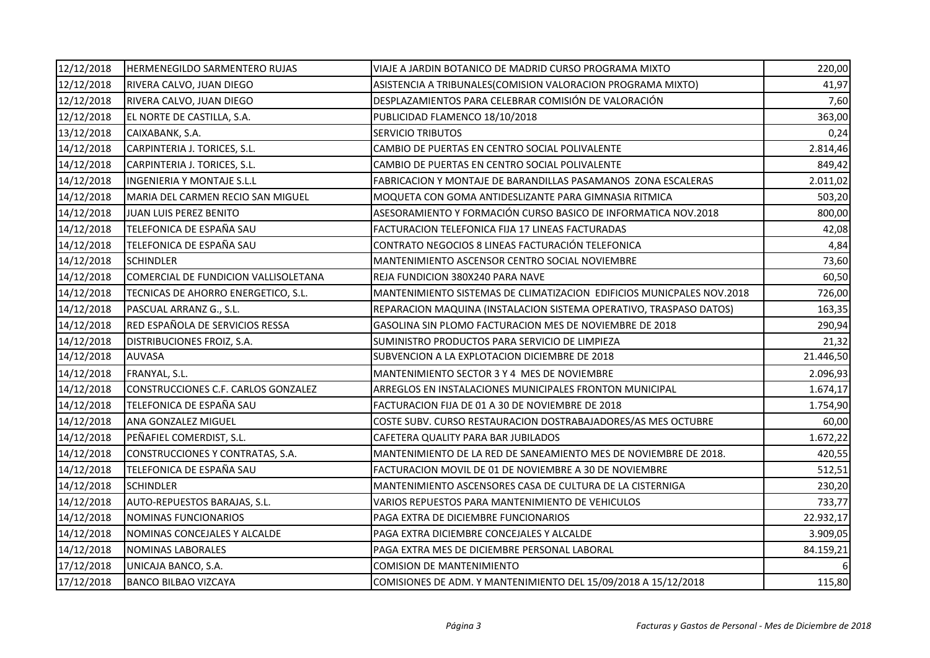| 12/12/2018 | HERMENEGILDO SARMENTERO RUJAS        | VIAJE A JARDIN BOTANICO DE MADRID CURSO PROGRAMA MIXTO                | 220,00    |
|------------|--------------------------------------|-----------------------------------------------------------------------|-----------|
| 12/12/2018 | RIVERA CALVO, JUAN DIEGO             | ASISTENCIA A TRIBUNALES(COMISION VALORACION PROGRAMA MIXTO)           | 41,97     |
| 12/12/2018 | RIVERA CALVO, JUAN DIEGO             | DESPLAZAMIENTOS PARA CELEBRAR COMISIÓN DE VALORACIÓN                  | 7,60      |
| 12/12/2018 | EL NORTE DE CASTILLA, S.A.           | PUBLICIDAD FLAMENCO 18/10/2018                                        | 363,00    |
| 13/12/2018 | CAIXABANK, S.A.                      | <b>SERVICIO TRIBUTOS</b>                                              | 0,24      |
| 14/12/2018 | CARPINTERIA J. TORICES, S.L.         | CAMBIO DE PUERTAS EN CENTRO SOCIAL POLIVALENTE                        | 2.814,46  |
| 14/12/2018 | CARPINTERIA J. TORICES, S.L.         | CAMBIO DE PUERTAS EN CENTRO SOCIAL POLIVALENTE                        | 849,42    |
| 14/12/2018 | INGENIERIA Y MONTAJE S.L.L           | FABRICACION Y MONTAJE DE BARANDILLAS PASAMANOS ZONA ESCALERAS         | 2.011,02  |
| 14/12/2018 | MARIA DEL CARMEN RECIO SAN MIGUEL    | MOQUETA CON GOMA ANTIDESLIZANTE PARA GIMNASIA RITMICA                 | 503,20    |
| 14/12/2018 | JUAN LUIS PEREZ BENITO               | ASESORAMIENTO Y FORMACIÓN CURSO BASICO DE INFORMATICA NOV.2018        | 800,00    |
| 14/12/2018 | TELEFONICA DE ESPAÑA SAU             | FACTURACION TELEFONICA FIJA 17 LINEAS FACTURADAS                      | 42,08     |
| 14/12/2018 | TELEFONICA DE ESPAÑA SAU             | CONTRATO NEGOCIOS 8 LINEAS FACTURACIÓN TELEFONICA                     | 4,84      |
| 14/12/2018 | <b>SCHINDLER</b>                     | MANTENIMIENTO ASCENSOR CENTRO SOCIAL NOVIEMBRE                        | 73,60     |
| 14/12/2018 | COMERCIAL DE FUNDICION VALLISOLETANA | REJA FUNDICION 380X240 PARA NAVE                                      | 60,50     |
| 14/12/2018 | TECNICAS DE AHORRO ENERGETICO, S.L.  | MANTENIMIENTO SISTEMAS DE CLIMATIZACION EDIFICIOS MUNICPALES NOV.2018 | 726,00    |
| 14/12/2018 | PASCUAL ARRANZ G., S.L.              | REPARACION MAQUINA (INSTALACION SISTEMA OPERATIVO, TRASPASO DATOS)    | 163,35    |
| 14/12/2018 | RED ESPAÑOLA DE SERVICIOS RESSA      | GASOLINA SIN PLOMO FACTURACION MES DE NOVIEMBRE DE 2018               | 290,94    |
| 14/12/2018 | DISTRIBUCIONES FROIZ, S.A.           | SUMINISTRO PRODUCTOS PARA SERVICIO DE LIMPIEZA                        | 21,32     |
| 14/12/2018 | <b>AUVASA</b>                        | SUBVENCION A LA EXPLOTACION DICIEMBRE DE 2018                         | 21.446,50 |
| 14/12/2018 | FRANYAL, S.L.                        | MANTENIMIENTO SECTOR 3 Y 4 MES DE NOVIEMBRE                           | 2.096,93  |
| 14/12/2018 | CONSTRUCCIONES C.F. CARLOS GONZALEZ  | ARREGLOS EN INSTALACIONES MUNICIPALES FRONTON MUNICIPAL               | 1.674,17  |
| 14/12/2018 | TELEFONICA DE ESPAÑA SAU             | FACTURACION FIJA DE 01 A 30 DE NOVIEMBRE DE 2018                      | 1.754,90  |
| 14/12/2018 | ANA GONZALEZ MIGUEL                  | COSTE SUBV. CURSO RESTAURACION DOSTRABAJADORES/AS MES OCTUBRE         | 60,00     |
| 14/12/2018 | PEÑAFIEL COMERDIST, S.L.             | CAFETERA QUALITY PARA BAR JUBILADOS                                   | 1.672,22  |
| 14/12/2018 | CONSTRUCCIONES Y CONTRATAS, S.A.     | MANTENIMIENTO DE LA RED DE SANEAMIENTO MES DE NOVIEMBRE DE 2018.      | 420,55    |
| 14/12/2018 | TELEFONICA DE ESPAÑA SAU             | FACTURACION MOVIL DE 01 DE NOVIEMBRE A 30 DE NOVIEMBRE                | 512,51    |
| 14/12/2018 | <b>SCHINDLER</b>                     | MANTENIMIENTO ASCENSORES CASA DE CULTURA DE LA CISTERNIGA             | 230,20    |
| 14/12/2018 | AUTO-REPUESTOS BARAJAS, S.L.         | VARIOS REPUESTOS PARA MANTENIMIENTO DE VEHICULOS                      | 733,77    |
| 14/12/2018 | <b>NOMINAS FUNCIONARIOS</b>          | PAGA EXTRA DE DICIEMBRE FUNCIONARIOS                                  | 22.932,17 |
| 14/12/2018 | NOMINAS CONCEJALES Y ALCALDE         | PAGA EXTRA DICIEMBRE CONCEJALES Y ALCALDE                             | 3.909,05  |
| 14/12/2018 | NOMINAS LABORALES                    | PAGA EXTRA MES DE DICIEMBRE PERSONAL LABORAL                          | 84.159,21 |
| 17/12/2018 | UNICAJA BANCO, S.A.                  | <b>COMISION DE MANTENIMIENTO</b>                                      |           |
| 17/12/2018 | <b>BANCO BILBAO VIZCAYA</b>          | COMISIONES DE ADM. Y MANTENIMIENTO DEL 15/09/2018 A 15/12/2018        | 115,80    |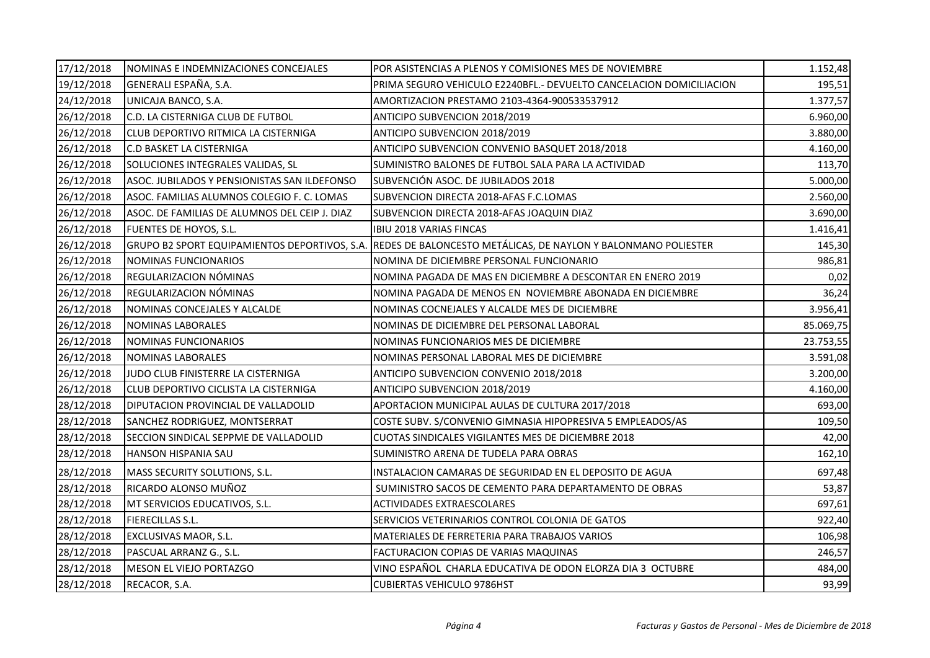| 17/12/2018 | NOMINAS E INDEMNIZACIONES CONCEJALES          | POR ASISTENCIAS A PLENOS Y COMISIONES MES DE NOVIEMBRE              | 1.152,48  |
|------------|-----------------------------------------------|---------------------------------------------------------------------|-----------|
| 19/12/2018 | GENERALI ESPAÑA, S.A.                         | PRIMA SEGURO VEHICULO E2240BFL.- DEVUELTO CANCELACION DOMICILIACION | 195,51    |
| 24/12/2018 | UNICAJA BANCO, S.A.                           | AMORTIZACION PRESTAMO 2103-4364-900533537912                        | 1.377,57  |
| 26/12/2018 | C.D. LA CISTERNIGA CLUB DE FUTBOL             | ANTICIPO SUBVENCION 2018/2019                                       | 6.960,00  |
| 26/12/2018 | CLUB DEPORTIVO RITMICA LA CISTERNIGA          | ANTICIPO SUBVENCION 2018/2019                                       | 3.880,00  |
| 26/12/2018 | <b>C.D BASKET LA CISTERNIGA</b>               | ANTICIPO SUBVENCION CONVENIO BASQUET 2018/2018                      | 4.160,00  |
| 26/12/2018 | SOLUCIONES INTEGRALES VALIDAS, SL             | SUMINISTRO BALONES DE FUTBOL SALA PARA LA ACTIVIDAD                 | 113,70    |
| 26/12/2018 | ASOC. JUBILADOS Y PENSIONISTAS SAN ILDEFONSO  | SUBVENCIÓN ASOC. DE JUBILADOS 2018                                  | 5.000,00  |
| 26/12/2018 | ASOC. FAMILIAS ALUMNOS COLEGIO F. C. LOMAS    | SUBVENCION DIRECTA 2018-AFAS F.C.LOMAS                              | 2.560,00  |
| 26/12/2018 | ASOC. DE FAMILIAS DE ALUMNOS DEL CEIP J. DIAZ | SUBVENCION DIRECTA 2018-AFAS JOAQUIN DIAZ                           | 3.690,00  |
| 26/12/2018 | FUENTES DE HOYOS, S.L.                        | IBIU 2018 VARIAS FINCAS                                             | 1.416,41  |
| 26/12/2018 | GRUPO B2 SPORT EQUIPAMIENTOS DEPORTIVOS, S.A. | REDES DE BALONCESTO METÁLICAS, DE NAYLON Y BALONMANO POLIESTER      | 145,30    |
| 26/12/2018 | NOMINAS FUNCIONARIOS                          | NOMINA DE DICIEMBRE PERSONAL FUNCIONARIO                            | 986,81    |
| 26/12/2018 | REGULARIZACION NÓMINAS                        | NOMINA PAGADA DE MAS EN DICIEMBRE A DESCONTAR EN ENERO 2019         | 0,02      |
| 26/12/2018 | REGULARIZACION NÓMINAS                        | NOMINA PAGADA DE MENOS EN NOVIEMBRE ABONADA EN DICIEMBRE            | 36,24     |
| 26/12/2018 | NOMINAS CONCEJALES Y ALCALDE                  | NOMINAS COCNEJALES Y ALCALDE MES DE DICIEMBRE                       | 3.956,41  |
| 26/12/2018 | NOMINAS LABORALES                             | NOMINAS DE DICIEMBRE DEL PERSONAL LABORAL                           | 85.069,75 |
| 26/12/2018 | NOMINAS FUNCIONARIOS                          | NOMINAS FUNCIONARIOS MES DE DICIEMBRE                               | 23.753,55 |
| 26/12/2018 | <b>NOMINAS LABORALES</b>                      | NOMINAS PERSONAL LABORAL MES DE DICIEMBRE                           | 3.591,08  |
| 26/12/2018 | JUDO CLUB FINISTERRE LA CISTERNIGA            | ANTICIPO SUBVENCION CONVENIO 2018/2018                              | 3.200,00  |
| 26/12/2018 | <b>CLUB DEPORTIVO CICLISTA LA CISTERNIGA</b>  | ANTICIPO SUBVENCION 2018/2019                                       | 4.160,00  |
| 28/12/2018 | DIPUTACION PROVINCIAL DE VALLADOLID           | APORTACION MUNICIPAL AULAS DE CULTURA 2017/2018                     | 693,00    |
| 28/12/2018 | SANCHEZ RODRIGUEZ, MONTSERRAT                 | COSTE SUBV. S/CONVENIO GIMNASIA HIPOPRESIVA 5 EMPLEADOS/AS          | 109,50    |
| 28/12/2018 | SECCION SINDICAL SEPPME DE VALLADOLID         | CUOTAS SINDICALES VIGILANTES MES DE DICIEMBRE 2018                  | 42,00     |
| 28/12/2018 | <b>HANSON HISPANIA SAU</b>                    | SUMINISTRO ARENA DE TUDELA PARA OBRAS                               | 162,10    |
| 28/12/2018 | MASS SECURITY SOLUTIONS, S.L.                 | INSTALACION CAMARAS DE SEGURIDAD EN EL DEPOSITO DE AGUA             | 697,48    |
| 28/12/2018 | RICARDO ALONSO MUÑOZ                          | SUMINISTRO SACOS DE CEMENTO PARA DEPARTAMENTO DE OBRAS              | 53,87     |
| 28/12/2018 | MT SERVICIOS EDUCATIVOS, S.L.                 | <b>ACTIVIDADES EXTRAESCOLARES</b>                                   | 697,61    |
| 28/12/2018 | <b>FIERECILLAS S.L.</b>                       | SERVICIOS VETERINARIOS CONTROL COLONIA DE GATOS                     | 922,40    |
| 28/12/2018 | EXCLUSIVAS MAOR, S.L.                         | MATERIALES DE FERRETERIA PARA TRABAJOS VARIOS                       | 106,98    |
| 28/12/2018 | PASCUAL ARRANZ G., S.L.                       | FACTURACION COPIAS DE VARIAS MAQUINAS                               | 246,57    |
| 28/12/2018 | MESON EL VIEJO PORTAZGO                       | VINO ESPAÑOL CHARLA EDUCATIVA DE ODON ELORZA DIA 3 OCTUBRE          | 484,00    |
| 28/12/2018 | RECACOR, S.A.                                 | <b>CUBIERTAS VEHICULO 9786HST</b>                                   | 93,99     |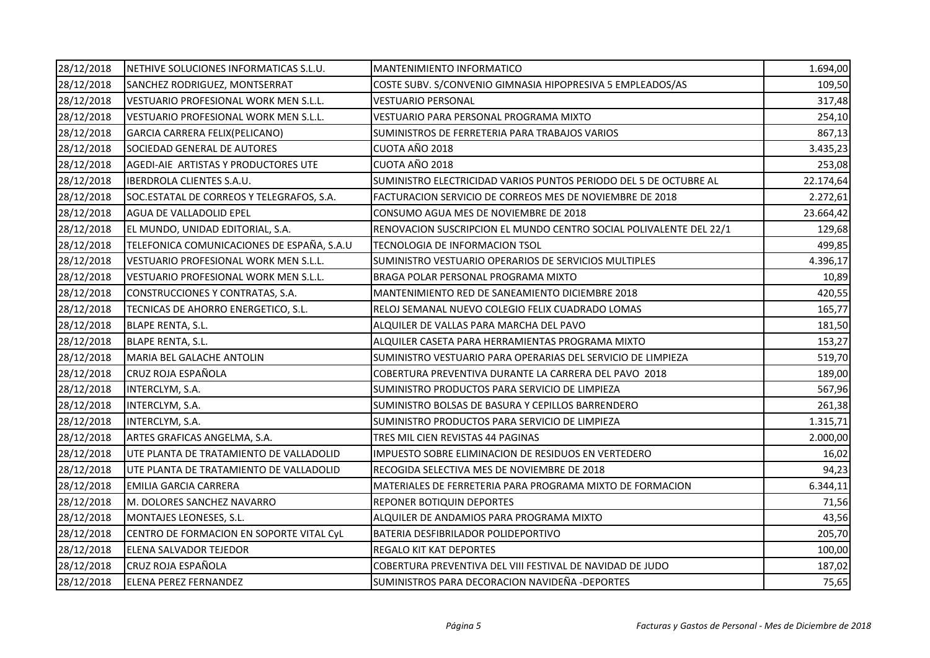| 28/12/2018 | NETHIVE SOLUCIONES INFORMATICAS S.L.U.     | <b>MANTENIMIENTO INFORMATICO</b>                                   | 1.694,00  |
|------------|--------------------------------------------|--------------------------------------------------------------------|-----------|
| 28/12/2018 | SANCHEZ RODRIGUEZ, MONTSERRAT              | COSTE SUBV. S/CONVENIO GIMNASIA HIPOPRESIVA 5 EMPLEADOS/AS         | 109,50    |
| 28/12/2018 | VESTUARIO PROFESIONAL WORK MEN S.L.L.      | VESTUARIO PERSONAL                                                 | 317,48    |
| 28/12/2018 | VESTUARIO PROFESIONAL WORK MEN S.L.L.      | VESTUARIO PARA PERSONAL PROGRAMA MIXTO                             | 254,10    |
| 28/12/2018 | GARCIA CARRERA FELIX(PELICANO)             | SUMINISTROS DE FERRETERIA PARA TRABAJOS VARIOS                     | 867,13    |
| 28/12/2018 | SOCIEDAD GENERAL DE AUTORES                | CUOTA AÑO 2018                                                     | 3.435,23  |
| 28/12/2018 | AGEDI-AIE ARTISTAS Y PRODUCTORES UTE       | CUOTA AÑO 2018                                                     | 253,08    |
| 28/12/2018 | IBERDROLA CLIENTES S.A.U.                  | SUMINISTRO ELECTRICIDAD VARIOS PUNTOS PERIODO DEL 5 DE OCTUBRE AL  | 22.174,64 |
| 28/12/2018 | SOC.ESTATAL DE CORREOS Y TELEGRAFOS, S.A.  | FACTURACION SERVICIO DE CORREOS MES DE NOVIEMBRE DE 2018           | 2.272,61  |
| 28/12/2018 | AGUA DE VALLADOLID EPEL                    | CONSUMO AGUA MES DE NOVIEMBRE DE 2018                              | 23.664,42 |
| 28/12/2018 | EL MUNDO, UNIDAD EDITORIAL, S.A.           | RENOVACION SUSCRIPCION EL MUNDO CENTRO SOCIAL POLIVALENTE DEL 22/1 | 129,68    |
| 28/12/2018 | TELEFONICA COMUNICACIONES DE ESPAÑA, S.A.U | TECNOLOGIA DE INFORMACION TSOL                                     | 499,85    |
| 28/12/2018 | VESTUARIO PROFESIONAL WORK MEN S.L.L.      | SUMINISTRO VESTUARIO OPERARIOS DE SERVICIOS MULTIPLES              | 4.396,17  |
| 28/12/2018 | VESTUARIO PROFESIONAL WORK MEN S.L.L.      | BRAGA POLAR PERSONAL PROGRAMA MIXTO                                | 10,89     |
| 28/12/2018 | CONSTRUCCIONES Y CONTRATAS, S.A.           | MANTENIMIENTO RED DE SANEAMIENTO DICIEMBRE 2018                    | 420,55    |
| 28/12/2018 | TECNICAS DE AHORRO ENERGETICO, S.L.        | RELOJ SEMANAL NUEVO COLEGIO FELIX CUADRADO LOMAS                   | 165,77    |
| 28/12/2018 | BLAPE RENTA, S.L.                          | ALQUILER DE VALLAS PARA MARCHA DEL PAVO                            | 181,50    |
| 28/12/2018 | <b>BLAPE RENTA, S.L.</b>                   | ALQUILER CASETA PARA HERRAMIENTAS PROGRAMA MIXTO                   | 153,27    |
| 28/12/2018 | MARIA BEL GALACHE ANTOLIN                  | SUMINISTRO VESTUARIO PARA OPERARIAS DEL SERVICIO DE LIMPIEZA       | 519,70    |
| 28/12/2018 | CRUZ ROJA ESPAÑOLA                         | COBERTURA PREVENTIVA DURANTE LA CARRERA DEL PAVO 2018              | 189,00    |
| 28/12/2018 | INTERCLYM, S.A.                            | SUMINISTRO PRODUCTOS PARA SERVICIO DE LIMPIEZA                     | 567,96    |
| 28/12/2018 | INTERCLYM, S.A.                            | SUMINISTRO BOLSAS DE BASURA Y CEPILLOS BARRENDERO                  | 261,38    |
| 28/12/2018 | INTERCLYM, S.A.                            | SUMINISTRO PRODUCTOS PARA SERVICIO DE LIMPIEZA                     | 1.315,71  |
| 28/12/2018 | ARTES GRAFICAS ANGELMA, S.A.               | TRES MIL CIEN REVISTAS 44 PAGINAS                                  | 2.000,00  |
| 28/12/2018 | UTE PLANTA DE TRATAMIENTO DE VALLADOLID    | IMPUESTO SOBRE ELIMINACION DE RESIDUOS EN VERTEDERO                | 16,02     |
| 28/12/2018 | UTE PLANTA DE TRATAMIENTO DE VALLADOLID    | RECOGIDA SELECTIVA MES DE NOVIEMBRE DE 2018                        | 94,23     |
| 28/12/2018 | EMILIA GARCIA CARRERA                      | MATERIALES DE FERRETERIA PARA PROGRAMA MIXTO DE FORMACION          | 6.344,11  |
| 28/12/2018 | M. DOLORES SANCHEZ NAVARRO                 | <b>REPONER BOTIQUIN DEPORTES</b>                                   | 71,56     |
| 28/12/2018 | MONTAJES LEONESES, S.L.                    | ALQUILER DE ANDAMIOS PARA PROGRAMA MIXTO                           | 43,56     |
| 28/12/2018 | CENTRO DE FORMACION EN SOPORTE VITAL CyL   | BATERIA DESFIBRILADOR POLIDEPORTIVO                                | 205,70    |
| 28/12/2018 | ELENA SALVADOR TEJEDOR                     | <b>REGALO KIT KAT DEPORTES</b>                                     | 100,00    |
| 28/12/2018 | CRUZ ROJA ESPAÑOLA                         | COBERTURA PREVENTIVA DEL VIII FESTIVAL DE NAVIDAD DE JUDO          | 187,02    |
| 28/12/2018 | <b>ELENA PEREZ FERNANDEZ</b>               | SUMINISTROS PARA DECORACION NAVIDEÑA - DEPORTES                    | 75,65     |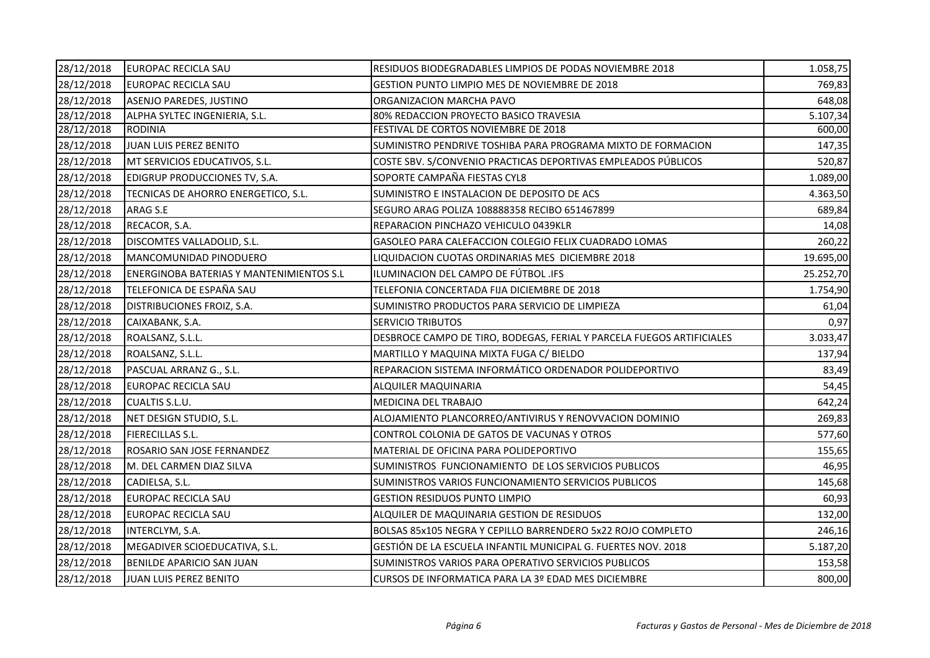| 28/12/2018 | EUROPAC RECICLA SAU                      | RESIDUOS BIODEGRADABLES LIMPIOS DE PODAS NOVIEMBRE 2018               | 1.058,75  |
|------------|------------------------------------------|-----------------------------------------------------------------------|-----------|
| 28/12/2018 | EUROPAC RECICLA SAU                      | GESTION PUNTO LIMPIO MES DE NOVIEMBRE DE 2018                         | 769,83    |
| 28/12/2018 | ASENJO PAREDES, JUSTINO                  | ORGANIZACION MARCHA PAVO                                              | 648,08    |
| 28/12/2018 | ALPHA SYLTEC INGENIERIA, S.L.            | 80% REDACCION PROYECTO BASICO TRAVESIA                                | 5.107,34  |
| 28/12/2018 | <b>RODINIA</b>                           | FESTIVAL DE CORTOS NOVIEMBRE DE 2018                                  | 600,00    |
| 28/12/2018 | JUAN LUIS PEREZ BENITO                   | SUMINISTRO PENDRIVE TOSHIBA PARA PROGRAMA MIXTO DE FORMACION          | 147,35    |
| 28/12/2018 | MT SERVICIOS EDUCATIVOS, S.L.            | COSTE SBV. S/CONVENIO PRACTICAS DEPORTIVAS EMPLEADOS PÚBLICOS         | 520,87    |
| 28/12/2018 | EDIGRUP PRODUCCIONES TV, S.A.            | SOPORTE CAMPAÑA FIESTAS CYL8                                          | 1.089,00  |
| 28/12/2018 | TECNICAS DE AHORRO ENERGETICO, S.L.      | SUMINISTRO E INSTALACION DE DEPOSITO DE ACS                           | 4.363,50  |
| 28/12/2018 | ARAG S.E                                 | SEGURO ARAG POLIZA 108888358 RECIBO 651467899                         | 689,84    |
| 28/12/2018 | RECACOR, S.A.                            | REPARACION PINCHAZO VEHICULO 0439KLR                                  | 14,08     |
| 28/12/2018 | DISCOMTES VALLADOLID, S.L.               | GASOLEO PARA CALEFACCION COLEGIO FELIX CUADRADO LOMAS                 | 260,22    |
| 28/12/2018 | MANCOMUNIDAD PINODUERO                   | LIQUIDACION CUOTAS ORDINARIAS MES DICIEMBRE 2018                      | 19.695,00 |
| 28/12/2018 | ENERGINOBA BATERIAS Y MANTENIMIENTOS S.L | ILUMINACION DEL CAMPO DE FÚTBOL .IFS                                  | 25.252,70 |
| 28/12/2018 | TELEFONICA DE ESPAÑA SAU                 | TELEFONIA CONCERTADA FIJA DICIEMBRE DE 2018                           | 1.754,90  |
| 28/12/2018 | DISTRIBUCIONES FROIZ, S.A.               | SUMINISTRO PRODUCTOS PARA SERVICIO DE LIMPIEZA                        | 61,04     |
| 28/12/2018 | CAIXABANK, S.A.                          | <b>SERVICIO TRIBUTOS</b>                                              | 0,97      |
| 28/12/2018 | ROALSANZ, S.L.L.                         | DESBROCE CAMPO DE TIRO, BODEGAS, FERIAL Y PARCELA FUEGOS ARTIFICIALES | 3.033,47  |
| 28/12/2018 | ROALSANZ, S.L.L.                         | MARTILLO Y MAQUINA MIXTA FUGA C/ BIELDO                               | 137,94    |
| 28/12/2018 | PASCUAL ARRANZ G., S.L.                  | REPARACION SISTEMA INFORMÁTICO ORDENADOR POLIDEPORTIVO                | 83,49     |
| 28/12/2018 | EUROPAC RECICLA SAU                      | ALQUILER MAQUINARIA                                                   | 54,45     |
| 28/12/2018 | CUALTIS S.L.U.                           | MEDICINA DEL TRABAJO                                                  | 642,24    |
| 28/12/2018 | NET DESIGN STUDIO, S.L.                  | ALOJAMIENTO PLANCORREO/ANTIVIRUS Y RENOVVACION DOMINIO                | 269,83    |
| 28/12/2018 | <b>FIERECILLAS S.L.</b>                  | CONTROL COLONIA DE GATOS DE VACUNAS Y OTROS                           | 577,60    |
| 28/12/2018 | ROSARIO SAN JOSE FERNANDEZ               | MATERIAL DE OFICINA PARA POLIDEPORTIVO                                | 155,65    |
| 28/12/2018 | M. DEL CARMEN DIAZ SILVA                 | SUMINISTROS FUNCIONAMIENTO DE LOS SERVICIOS PUBLICOS                  | 46,95     |
| 28/12/2018 | CADIELSA, S.L.                           | SUMINISTROS VARIOS FUNCIONAMIENTO SERVICIOS PUBLICOS                  | 145,68    |
| 28/12/2018 | EUROPAC RECICLA SAU                      | <b>GESTION RESIDUOS PUNTO LIMPIO</b>                                  | 60,93     |
| 28/12/2018 | EUROPAC RECICLA SAU                      | ALQUILER DE MAQUINARIA GESTION DE RESIDUOS                            | 132,00    |
| 28/12/2018 | INTERCLYM, S.A.                          | BOLSAS 85x105 NEGRA Y CEPILLO BARRENDERO 5x22 ROJO COMPLETO           | 246,16    |
| 28/12/2018 | MEGADIVER SCIOEDUCATIVA, S.L.            | GESTIÓN DE LA ESCUELA INFANTIL MUNICIPAL G. FUERTES NOV. 2018         | 5.187,20  |
| 28/12/2018 | BENILDE APARICIO SAN JUAN                | SUMINISTROS VARIOS PARA OPERATIVO SERVICIOS PUBLICOS                  | 153,58    |
| 28/12/2018 | JUAN LUIS PEREZ BENITO                   | CURSOS DE INFORMATICA PARA LA 3º EDAD MES DICIEMBRE                   | 800,00    |